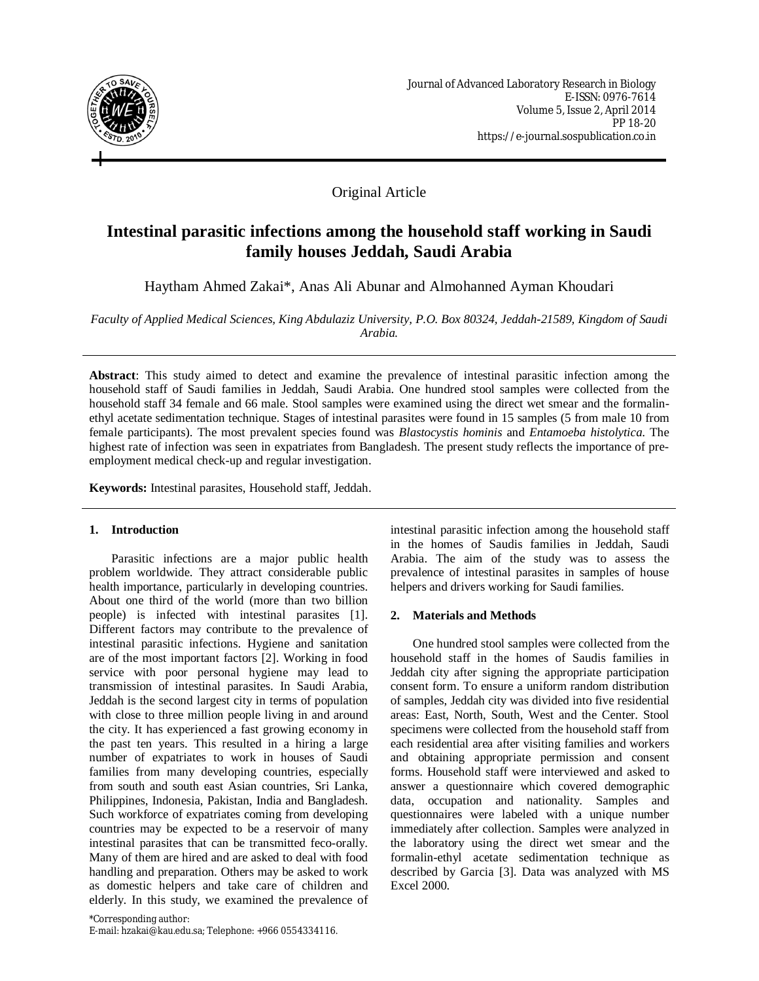

## Original Article

# **Intestinal parasitic infections among the household staff working in Saudi family houses Jeddah, Saudi Arabia**

Haytham Ahmed Zakai\*, Anas Ali Abunar and Almohanned Ayman Khoudari

*Faculty of Applied Medical Sciences, King Abdulaziz University, P.O. Box 80324, Jeddah-21589, Kingdom of Saudi Arabia.*

**Abstract**: This study aimed to detect and examine the prevalence of intestinal parasitic infection among the household staff of Saudi families in Jeddah, Saudi Arabia. One hundred stool samples were collected from the household staff 34 female and 66 male. Stool samples were examined using the direct wet smear and the formalinethyl acetate sedimentation technique. Stages of intestinal parasites were found in 15 samples (5 from male 10 from female participants). The most prevalent species found was *Blastocystis hominis* and *Entamoeba histolytica*. The highest rate of infection was seen in expatriates from Bangladesh. The present study reflects the importance of preemployment medical check-up and regular investigation.

**Keywords:** Intestinal parasites, Household staff, Jeddah.

## **1. Introduction**

Parasitic infections are a major public health problem worldwide. They attract considerable public health importance, particularly in developing countries. About one third of the world (more than two billion people) is infected with intestinal parasites [1]. Different factors may contribute to the prevalence of intestinal parasitic infections. Hygiene and sanitation are of the most important factors [2]. Working in food service with poor personal hygiene may lead to transmission of intestinal parasites. In Saudi Arabia, Jeddah is the second largest city in terms of population with close to three million people living in and around the city. It has experienced a fast growing economy in the past ten years. This resulted in a hiring a large number of expatriates to work in houses of Saudi families from many developing countries, especially from south and south east Asian countries, Sri Lanka, Philippines, Indonesia, Pakistan, India and Bangladesh. Such workforce of expatriates coming from developing countries may be expected to be a reservoir of many intestinal parasites that can be transmitted feco-orally. Many of them are hired and are asked to deal with food handling and preparation. Others may be asked to work as domestic helpers and take care of children and elderly. In this study, we examined the prevalence of

\*Corresponding author: E-mail: hzakai@kau.edu.sa; Telephone: +966 0554334116. intestinal parasitic infection among the household staff in the homes of Saudis families in Jeddah, Saudi Arabia. The aim of the study was to assess the prevalence of intestinal parasites in samples of house helpers and drivers working for Saudi families.

## **2. Materials and Methods**

One hundred stool samples were collected from the household staff in the homes of Saudis families in Jeddah city after signing the appropriate participation consent form. To ensure a uniform random distribution of samples, Jeddah city was divided into five residential areas: East, North, South, West and the Center. Stool specimens were collected from the household staff from each residential area after visiting families and workers and obtaining appropriate permission and consent forms. Household staff were interviewed and asked to answer a questionnaire which covered demographic data, occupation and nationality. Samples and questionnaires were labeled with a unique number immediately after collection. Samples were analyzed in the laboratory using the direct wet smear and the formalin-ethyl acetate sedimentation technique as described by Garcia [3]. Data was analyzed with MS Excel 2000.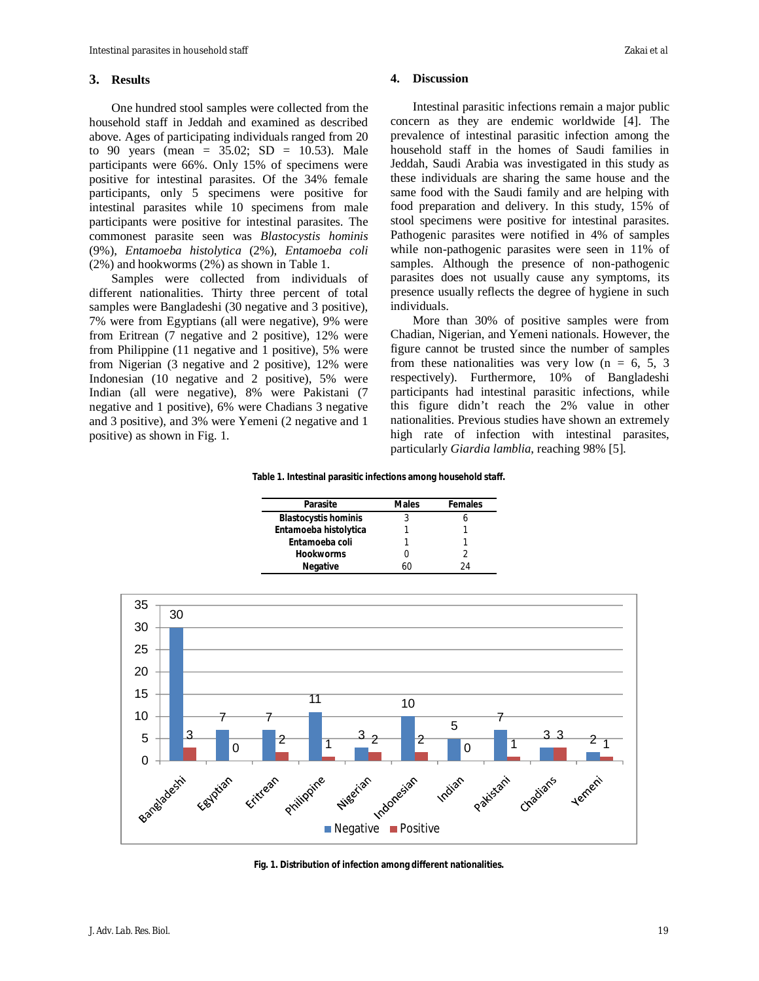#### **3. Results**

One hundred stool samples were collected from the household staff in Jeddah and examined as described above. Ages of participating individuals ranged from 20 to 90 years (mean =  $35.02$ ; SD =  $10.53$ ). Male participants were 66%. Only 15% of specimens were positive for intestinal parasites. Of the 34% female participants, only 5 specimens were positive for intestinal parasites while 10 specimens from male participants were positive for intestinal parasites. The commonest parasite seen was *Blastocystis hominis* (9%), *Entamoeba histolytica* (2%), *Entamoeba coli* (2%) and hookworms (2%) as shown in Table 1.

Samples were collected from individuals of different nationalities. Thirty three percent of total samples were Bangladeshi (30 negative and 3 positive), 7% were from Egyptians (all were negative), 9% were from Eritrean (7 negative and 2 positive), 12% were from Philippine (11 negative and 1 positive), 5% were from Nigerian (3 negative and 2 positive), 12% were Indonesian (10 negative and 2 positive), 5% were Indian (all were negative), 8% were Pakistani (7 negative and 1 positive), 6% were Chadians 3 negative and 3 positive), and 3% were Yemeni (2 negative and 1 positive) as shown in Fig. 1.

#### **4. Discussion**

Intestinal parasitic infections remain a major public concern as they are endemic worldwide [4]. The prevalence of intestinal parasitic infection among the household staff in the homes of Saudi families in Jeddah, Saudi Arabia was investigated in this study as these individuals are sharing the same house and the same food with the Saudi family and are helping with food preparation and delivery. In this study, 15% of stool specimens were positive for intestinal parasites. Pathogenic parasites were notified in 4% of samples while non-pathogenic parasites were seen in 11% of samples. Although the presence of non-pathogenic parasites does not usually cause any symptoms, its presence usually reflects the degree of hygiene in such individuals.

More than 30% of positive samples were from Chadian, Nigerian, and Yemeni nationals. However, the figure cannot be trusted since the number of samples from these nationalities was very low  $(n = 6, 5, 3)$ respectively). Furthermore, 10% of Bangladeshi participants had intestinal parasitic infections, while this figure didn't reach the 2% value in other nationalities. Previous studies have shown an extremely high rate of infection with intestinal parasites, particularly *Giardia lamblia*, reaching 98% [5].

#### **Table 1. Intestinal parasitic infections among household staff.**

| Parasite                    | <b>Males</b> | <b>Females</b> |
|-----------------------------|--------------|----------------|
| <b>Blastocystis hominis</b> |              |                |
| Entamoeba histolytica       |              |                |
| Entamoeba coli              |              |                |
| <b>Hookworms</b>            |              |                |
| <b>Negative</b>             |              | 24             |



**Fig. 1. Distribution of infection among different nationalities.**